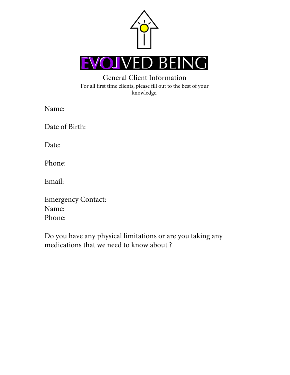

## General Client Information For all first time clients, please fill out to the best of your knowledge.

Name:

Date of Birth:

Date:

Phone:

Email:

Emergency Contact: Name: Phone:

Do you have any physical limitations or are you taking any medications that we need to know about ?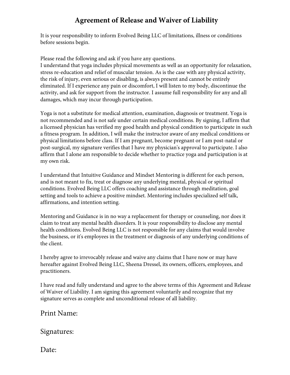## **Agreement of Release and Waiver of Liability**

It is your responsibility to inform Evolved Being LLC of limitations, illness or conditions before sessions begin.

Please read the following and ask if you have any questions.

I understand that yoga includes physical movements as well as an opportunity for relaxation, stress re-education and relief of muscular tension. As is the case with any physical activity, the risk of injury, even serious or disabling, is always present and cannot be entirely eliminated. If I experience any pain or discomfort, I will listen to my body, discontinue the activity, and ask for support from the instructor. I assume full responsibility for any and all damages, which may incur through participation.

Yoga is not a substitute for medical attention, examination, diagnosis or treatment. Yoga is not recommended and is not safe under certain medical conditions. By signing, I affirm that a licensed physician has verified my good health and physical condition to participate in such a fitness program. In addition, I will make the instructor aware of any medical conditions or physical limitations before class. If I am pregnant, become pregnant or I am post-natal or post-surgical, my signature verifies that I have my physician's approval to participate. I also affirm that I alone am responsible to decide whether to practice yoga and participation is at my own risk.

I understand that Intuitive Guidance and Mindset Mentoring is different for each person, and is not meant to fix, treat or diagnose any underlying mental, physical or spiritual conditions. Evolved Being LLC offers coaching and assistance through meditation, goal setting and tools to achieve a positive mindset. Mentoring includes specialized self talk, affirmations, and intention setting.

Mentoring and Guidance is in no way a replacement for therapy or counseling, nor does it claim to treat any mental health disorders. It is your responsibility to disclose any mental health conditions. Evolved Being LLC is not responsible for any claims that would involve the business, or it's employees in the treatment or diagnosis of any underlying conditions of the client.

I hereby agree to irrevocably release and waive any claims that I have now or may have hereafter against Evolved Being LLC, Sheena Dressel, its owners, officers, employees, and practitioners.

I have read and fully understand and agree to the above terms of this Agreement and Release of Waiver of Liability. I am signing this agreement voluntarily and recognize that my signature serves as complete and unconditional release of all liability.

Print Name:

Signatures:

Date: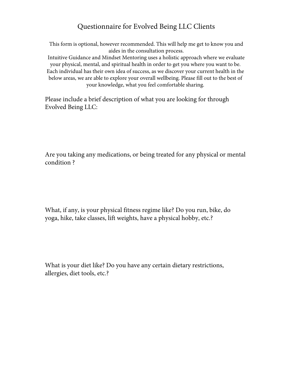## Questionnaire for Evolved Being LLC Clients

This form is optional, however recommended. This will help me get to know you and aides in the consultation process. Intuitive Guidance and Mindset Mentoring uses a holistic approach where we evaluate your physical, mental, and spiritual health in order to get you where you want to be. Each individual has their own idea of success, as we discover your current health in the below areas, we are able to explore your overall wellbeing. Please fill out to the best of your knowledge, what you feel comfortable sharing.

Please include a brief description of what you are looking for through Evolved Being LLC:

Are you taking any medications, or being treated for any physical or mental condition ?

What, if any, is your physical fitness regime like? Do you run, bike, do yoga, hike, take classes, lift weights, have a physical hobby, etc.?

What is your diet like? Do you have any certain dietary restrictions, allergies, diet tools, etc.?